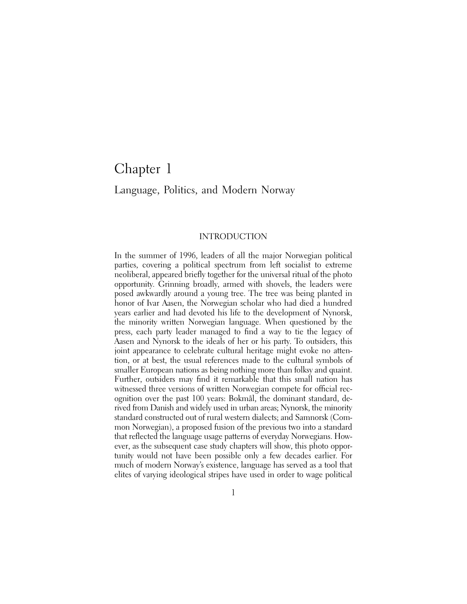# Chapter 1

## Language, Politics, and Modern Norway

### INTRODUCTION

In the summer of 1996, leaders of all the major Norwegian political parties, covering a political spectrum from left socialist to extreme neoliberal, appeared briefly together for the universal ritual of the photo opportunity. Grinning broadly, armed with shovels, the leaders were posed awkwardly around a young tree. The tree was being planted in honor of Ivar Aasen, the Norwegian scholar who had died a hundred years earlier and had devoted his life to the development of Nynorsk, the minority written Norwegian language. When questioned by the press, each party leader managed to find a way to tie the legacy of Aasen and Nynorsk to the ideals of her or his party. To outsiders, this joint appearance to celebrate cultural heritage might evoke no attention, or at best, the usual references made to the cultural symbols of smaller European nations as being nothing more than folksy and quaint. Further, outsiders may find it remarkable that this small nation has witnessed three versions of written Norwegian compete for official recognition over the past 100 years: Bokmål, the dominant standard, derived from Danish and widely used in urban areas; Nynorsk, the minority standard constructed out of rural western dialects; and Samnorsk (Common Norwegian), a proposed fusion of the previous two into a standard that reflected the language usage patterns of everyday Norwegians. However, as the subsequent case study chapters will show, this photo opportunity would not have been possible only a few decades earlier. For much of modern Norway's existence, language has served as a tool that elites of varying ideological stripes have used in order to wage political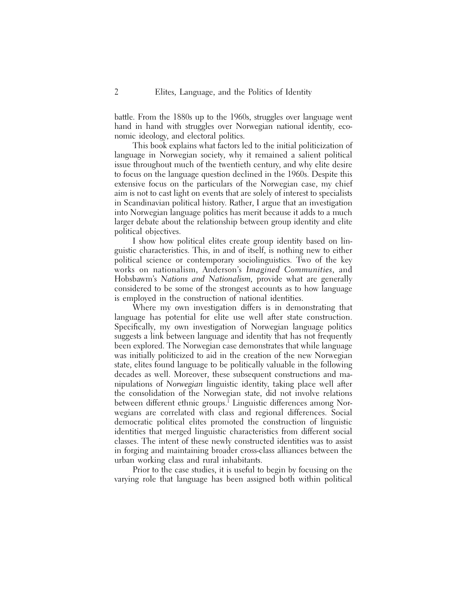battle. From the 1880s up to the 1960s, struggles over language went hand in hand with struggles over Norwegian national identity, economic ideology, and electoral politics.

This book explains what factors led to the initial politicization of language in Norwegian society, why it remained a salient political issue throughout much of the twentieth century, and why elite desire to focus on the language question declined in the 1960s. Despite this extensive focus on the particulars of the Norwegian case, my chief aim is not to cast light on events that are solely of interest to specialists in Scandinavian political history. Rather, I argue that an investigation into Norwegian language politics has merit because it adds to a much larger debate about the relationship between group identity and elite political objectives.

I show how political elites create group identity based on linguistic characteristics. This, in and of itself, is nothing new to either political science or contemporary sociolinguistics. Two of the key works on nationalism, Anderson's *Imagined Communities*, and Hobsbawm's *Nations and Nationalism,* provide what are generally considered to be some of the strongest accounts as to how language is employed in the construction of national identities.

Where my own investigation differs is in demonstrating that language has potential for elite use well after state construction. Specifically, my own investigation of Norwegian language politics suggests a link between language and identity that has not frequently been explored. The Norwegian case demonstrates that while language was initially politicized to aid in the creation of the new Norwegian state, elites found language to be politically valuable in the following decades as well. Moreover, these subsequent constructions and manipulations of *Norwegian* linguistic identity, taking place well after the consolidation of the Norwegian state, did not involve relations between different ethnic groups.<sup>1</sup> Linguistic differences among Norwegians are correlated with class and regional differences. Social democratic political elites promoted the construction of linguistic identities that merged linguistic characteristics from different social classes. The intent of these newly constructed identities was to assist in forging and maintaining broader cross-class alliances between the urban working class and rural inhabitants.

Prior to the case studies, it is useful to begin by focusing on the varying role that language has been assigned both within political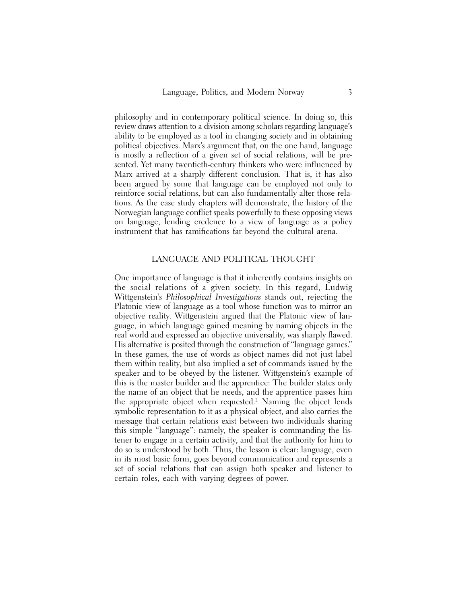philosophy and in contemporary political science. In doing so, this review draws attention to a division among scholars regarding language's ability to be employed as a tool in changing society and in obtaining political objectives. Marx's argument that, on the one hand, language is mostly a reflection of a given set of social relations, will be presented. Yet many twentieth-century thinkers who were influenced by Marx arrived at a sharply different conclusion. That is, it has also been argued by some that language can be employed not only to reinforce social relations, but can also fundamentally alter those relations. As the case study chapters will demonstrate, the history of the Norwegian language conflict speaks powerfully to these opposing views on language, lending credence to a view of language as a policy instrument that has ramifications far beyond the cultural arena.

#### LANGUAGE AND POLITICAL THOUGHT

One importance of language is that it inherently contains insights on the social relations of a given society. In this regard, Ludwig Wittgenstein's *Philosophical Investigations* stands out, rejecting the Platonic view of language as a tool whose function was to mirror an objective reality. Wittgenstein argued that the Platonic view of language, in which language gained meaning by naming objects in the real world and expressed an objective universality, was sharply flawed. His alternative is posited through the construction of "language games." In these games, the use of words as object names did not just label them within reality, but also implied a set of commands issued by the speaker and to be obeyed by the listener. Wittgenstein's example of this is the master builder and the apprentice: The builder states only the name of an object that he needs, and the apprentice passes him the appropriate object when requested.2 Naming the object lends symbolic representation to it as a physical object, and also carries the message that certain relations exist between two individuals sharing this simple "language": namely, the speaker is commanding the listener to engage in a certain activity, and that the authority for him to do so is understood by both. Thus, the lesson is clear: language, even in its most basic form, goes beyond communication and represents a set of social relations that can assign both speaker and listener to certain roles, each with varying degrees of power.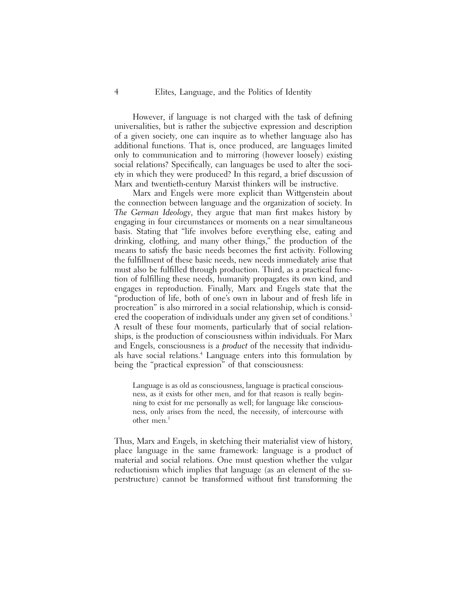However, if language is not charged with the task of defining universalities, but is rather the subjective expression and description of a given society, one can inquire as to whether language also has additional functions. That is, once produced, are languages limited only to communication and to mirroring (however loosely) existing social relations? Specifically, can languages be used to alter the society in which they were produced? In this regard, a brief discussion of Marx and twentieth-century Marxist thinkers will be instructive.

Marx and Engels were more explicit than Wittgenstein about the connection between language and the organization of society. In *The German Ideology*, they argue that man first makes history by engaging in four circumstances or moments on a near simultaneous basis. Stating that "life involves before everything else, eating and drinking, clothing, and many other things," the production of the means to satisfy the basic needs becomes the first activity. Following the fulfillment of these basic needs, new needs immediately arise that must also be fulfilled through production. Third, as a practical function of fulfilling these needs, humanity propagates its own kind, and engages in reproduction. Finally, Marx and Engels state that the "production of life, both of one's own in labour and of fresh life in procreation" is also mirrored in a social relationship, which is considered the cooperation of individuals under any given set of conditions.<sup>3</sup> A result of these four moments, particularly that of social relationships, is the production of consciousness within individuals. For Marx and Engels, consciousness is a *product* of the necessity that individuals have social relations.4 Language enters into this formulation by being the "practical expression" of that consciousness:

Language is as old as consciousness, language is practical consciousness, as it exists for other men, and for that reason is really beginning to exist for me personally as well; for language like consciousness, only arises from the need, the necessity, of intercourse with other men $<sup>5</sup>$ </sup>

Thus, Marx and Engels, in sketching their materialist view of history, place language in the same framework: language is a product of material and social relations. One must question whether the vulgar reductionism which implies that language (as an element of the superstructure) cannot be transformed without first transforming the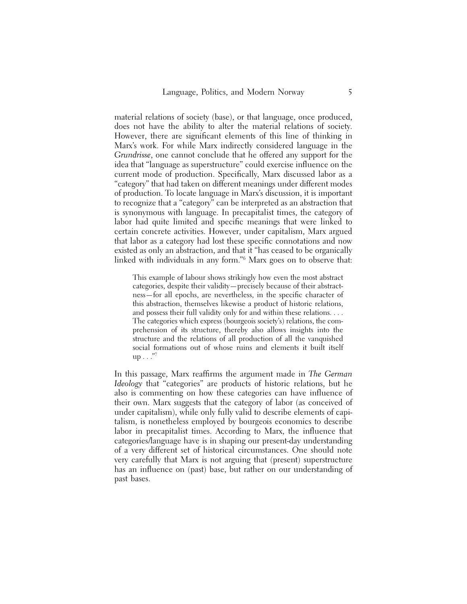material relations of society (base), or that language, once produced, does not have the ability to alter the material relations of society. However, there are significant elements of this line of thinking in Marx's work. For while Marx indirectly considered language in the *Grundrisse*, one cannot conclude that he offered any support for the idea that "language as superstructure" could exercise influence on the current mode of production. Specifically, Marx discussed labor as a "category" that had taken on different meanings under different modes of production. To locate language in Marx's discussion, it is important to recognize that a "category" can be interpreted as an abstraction that is synonymous with language. In precapitalist times, the category of labor had quite limited and specific meanings that were linked to certain concrete activities. However, under capitalism, Marx argued that labor as a category had lost these specific connotations and now existed as only an abstraction, and that it "has ceased to be organically linked with individuals in any form."6 Marx goes on to observe that:

This example of labour shows strikingly how even the most abstract categories, despite their validity—precisely because of their abstractness—for all epochs, are nevertheless, in the specific character of this abstraction, themselves likewise a product of historic relations, and possess their full validity only for and within these relations. . . . The categories which express (bourgeois society's) relations, the comprehension of its structure, thereby also allows insights into the structure and the relations of all production of all the vanquished social formations out of whose ruins and elements it built itself up . . ."7

In this passage, Marx reaffirms the argument made in *The German Ideology* that "categories" are products of historic relations, but he also is commenting on how these categories can have influence of their own. Marx suggests that the category of labor (as conceived of under capitalism), while only fully valid to describe elements of capitalism, is nonetheless employed by bourgeois economics to describe labor in precapitalist times. According to Marx, the influence that categories/language have is in shaping our present-day understanding of a very different set of historical circumstances. One should note very carefully that Marx is not arguing that (present) superstructure has an influence on (past) base, but rather on our understanding of past bases.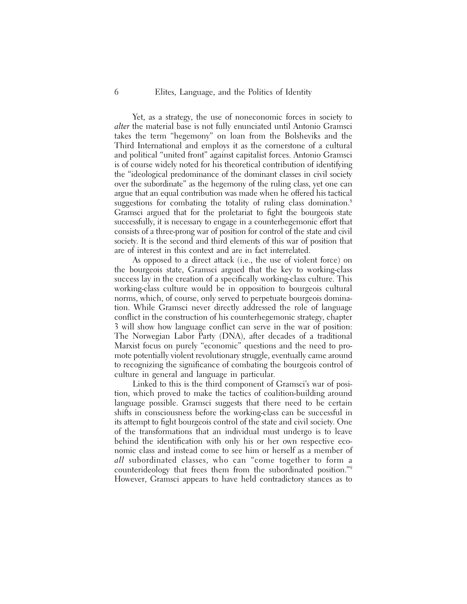Yet, as a strategy, the use of noneconomic forces in society to *alter* the material base is not fully enunciated until Antonio Gramsci takes the term "hegemony" on loan from the Bolsheviks and the Third International and employs it as the cornerstone of a cultural and political "united front" against capitalist forces. Antonio Gramsci is of course widely noted for his theoretical contribution of identifying the "ideological predominance of the dominant classes in civil society over the subordinate" as the hegemony of the ruling class, yet one can argue that an equal contribution was made when he offered his tactical suggestions for combating the totality of ruling class domination.<sup>8</sup> Gramsci argued that for the proletariat to fight the bourgeois state successfully, it is necessary to engage in a counterhegemonic effort that consists of a three-prong war of position for control of the state and civil society. It is the second and third elements of this war of position that are of interest in this context and are in fact interrelated.

As opposed to a direct attack (i.e., the use of violent force) on the bourgeois state, Gramsci argued that the key to working-class success lay in the creation of a specifically working-class culture. This working-class culture would be in opposition to bourgeois cultural norms, which, of course, only served to perpetuate bourgeois domination. While Gramsci never directly addressed the role of language conflict in the construction of his counterhegemonic strategy, chapter 3 will show how language conflict can serve in the war of position: The Norwegian Labor Party (DNA), after decades of a traditional Marxist focus on purely "economic" questions and the need to promote potentially violent revolutionary struggle, eventually came around to recognizing the significance of combating the bourgeois control of culture in general and language in particular.

Linked to this is the third component of Gramsci's war of position, which proved to make the tactics of coalition-building around language possible. Gramsci suggests that there need to be certain shifts in consciousness before the working-class can be successful in its attempt to fight bourgeois control of the state and civil society. One of the transformations that an individual must undergo is to leave behind the identification with only his or her own respective economic class and instead come to see him or herself as a member of *all* subordinated classes, who can "come together to form a counterideology that frees them from the subordinated position."9 However, Gramsci appears to have held contradictory stances as to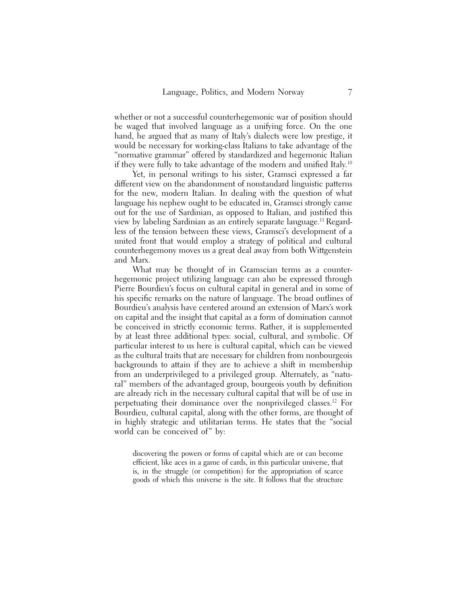whether or not a successful counterhegemonic war of position should be waged that involved language as a unifying force. On the one hand, he argued that as many of Italy's dialects were low prestige, it would be necessary for working-class Italians to take advantage of the "normative grammar" offered by standardized and hegemonic Italian if they were fully to take advantage of the modern and unified Italy.10

Yet, in personal writings to his sister, Gramsci expressed a far different view on the abandonment of nonstandard linguistic patterns for the new, modern Italian. In dealing with the question of what language his nephew ought to be educated in, Gramsci strongly came out for the use of Sardinian, as opposed to Italian, and justified this view by labeling Sardinian as an entirely separate language.11 Regardless of the tension between these views, Gramsci's development of a united front that would employ a strategy of political and cultural counterhegemony moves us a great deal away from both Wittgenstein and Marx.

What may be thought of in Gramscian terms as a counterhegemonic project utilizing language can also be expressed through Pierre Bourdieu's focus on cultural capital in general and in some of his specific remarks on the nature of language. The broad outlines of Bourdieu's analysis have centered around an extension of Marx's work on capital and the insight that capital as a form of domination cannot be conceived in strictly economic terms. Rather, it is supplemented by at least three additional types: social, cultural, and symbolic. Of particular interest to us here is cultural capital, which can be viewed as the cultural traits that are necessary for children from nonbourgeois backgrounds to attain if they are to achieve a shift in membership from an underprivileged to a privileged group. Alternately, as "natural" members of the advantaged group, bourgeois youth by definition are already rich in the necessary cultural capital that will be of use in perpetuating their dominance over the nonprivileged classes.12 For Bourdieu, cultural capital, along with the other forms, are thought of in highly strategic and utilitarian terms. He states that the "social world can be conceived of" by:

discovering the powers or forms of capital which are or can become efficient, like aces in a game of cards, in this particular universe, that is, in the struggle (or competition) for the appropriation of scarce goods of which this universe is the site. It follows that the structure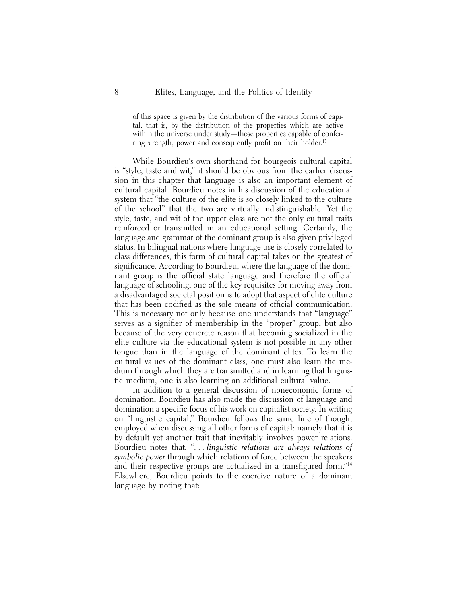of this space is given by the distribution of the various forms of capital, that is, by the distribution of the properties which are active within the universe under study—those properties capable of conferring strength, power and consequently profit on their holder.<sup>13</sup>

While Bourdieu's own shorthand for bourgeois cultural capital is "style, taste and wit," it should be obvious from the earlier discussion in this chapter that language is also an important element of cultural capital. Bourdieu notes in his discussion of the educational system that "the culture of the elite is so closely linked to the culture of the school" that the two are virtually indistinguishable. Yet the style, taste, and wit of the upper class are not the only cultural traits reinforced or transmitted in an educational setting. Certainly, the language and grammar of the dominant group is also given privileged status. In bilingual nations where language use is closely correlated to class differences, this form of cultural capital takes on the greatest of significance. According to Bourdieu, where the language of the dominant group is the official state language and therefore the official language of schooling, one of the key requisites for moving away from a disadvantaged societal position is to adopt that aspect of elite culture that has been codified as the sole means of official communication. This is necessary not only because one understands that "language" serves as a signifier of membership in the "proper" group, but also because of the very concrete reason that becoming socialized in the elite culture via the educational system is not possible in any other tongue than in the language of the dominant elites. To learn the cultural values of the dominant class, one must also learn the medium through which they are transmitted and in learning that linguistic medium, one is also learning an additional cultural value.

In addition to a general discussion of noneconomic forms of domination, Bourdieu has also made the discussion of language and domination a specific focus of his work on capitalist society. In writing on "linguistic capital," Bourdieu follows the same line of thought employed when discussing all other forms of capital: namely that it is by default yet another trait that inevitably involves power relations. Bourdieu notes that, ". . *. linguistic relations are always relations of symbolic power* through which relations of force between the speakers and their respective groups are actualized in a transfigured form."14 Elsewhere, Bourdieu points to the coercive nature of a dominant language by noting that: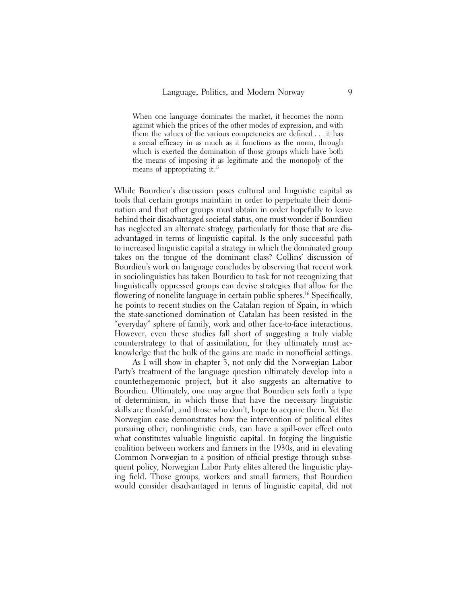When one language dominates the market, it becomes the norm against which the prices of the other modes of expression, and with them the values of the various competencies are defined . . . it has a social efficacy in as much as it functions as the norm, through which is exerted the domination of those groups which have both the means of imposing it as legitimate and the monopoly of the means of appropriating it.<sup>15</sup>

While Bourdieu's discussion poses cultural and linguistic capital as tools that certain groups maintain in order to perpetuate their domination and that other groups must obtain in order hopefully to leave behind their disadvantaged societal status, one must wonder if Bourdieu has neglected an alternate strategy, particularly for those that are disadvantaged in terms of linguistic capital. Is the only successful path to increased linguistic capital a strategy in which the dominated group takes on the tongue of the dominant class? Collins' discussion of Bourdieu's work on language concludes by observing that recent work in sociolinguistics has taken Bourdieu to task for not recognizing that linguistically oppressed groups can devise strategies that allow for the flowering of nonelite language in certain public spheres.<sup>16</sup> Specifically, he points to recent studies on the Catalan region of Spain, in which the state-sanctioned domination of Catalan has been resisted in the "everyday" sphere of family, work and other face-to-face interactions. However, even these studies fall short of suggesting a truly viable counterstrategy to that of assimilation, for they ultimately must acknowledge that the bulk of the gains are made in nonofficial settings.

As I will show in chapter 3, not only did the Norwegian Labor Party's treatment of the language question ultimately develop into a counterhegemonic project, but it also suggests an alternative to Bourdieu. Ultimately, one may argue that Bourdieu sets forth a type of determinism, in which those that have the necessary linguistic skills are thankful, and those who don't, hope to acquire them. Yet the Norwegian case demonstrates how the intervention of political elites pursuing other, nonlinguistic ends, can have a spill-over effect onto what constitutes valuable linguistic capital. In forging the linguistic coalition between workers and farmers in the 1930s, and in elevating Common Norwegian to a position of official prestige through subsequent policy, Norwegian Labor Party elites altered the linguistic playing field. Those groups, workers and small farmers, that Bourdieu would consider disadvantaged in terms of linguistic capital, did not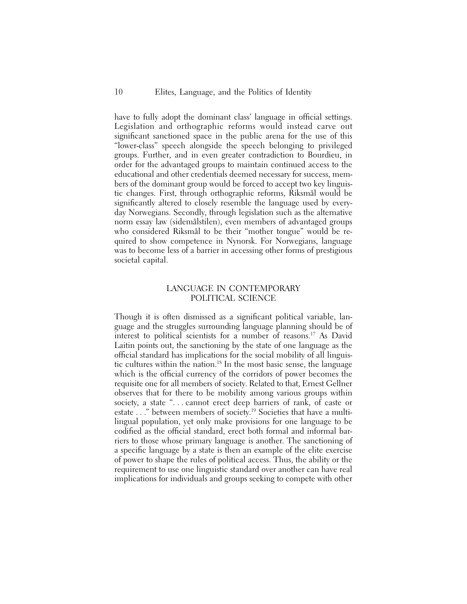have to fully adopt the dominant class' language in official settings. Legislation and orthographic reforms would instead carve out significant sanctioned space in the public arena for the use of this "lower-class" speech alongside the speech belonging to privileged groups. Further, and in even greater contradiction to Bourdieu, in order for the advantaged groups to maintain continued access to the educational and other credentials deemed necessary for success, members of the dominant group would be forced to accept two key linguistic changes. First, through orthographic reforms, Riksmål would be significantly altered to closely resemble the language used by everyday Norwegians. Secondly, through legislation such as the alternative norm essay law (sidemålstilen), even members of advantaged groups who considered Riksmål to be their "mother tongue" would be required to show competence in Nynorsk. For Norwegians, language was to become less of a barrier in accessing other forms of prestigious societal capital.

## LANGUAGE IN CONTEMPORARY POLITICAL SCIENCE

Though it is often dismissed as a significant political variable, language and the struggles surrounding language planning should be of interest to political scientists for a number of reasons.<sup>17</sup> As David Laitin points out, the sanctioning by the state of one language as the official standard has implications for the social mobility of all linguistic cultures within the nation.<sup>18</sup> In the most basic sense, the language which is the official currency of the corridors of power becomes the requisite one for all members of society. Related to that, Ernest Gellner observes that for there to be mobility among various groups within society, a state "... cannot erect deep barriers of rank, of caste or estate . . ." between members of society.<sup>19</sup> Societies that have a multilingual population, yet only make provisions for one language to be codified as the official standard, erect both formal and informal barriers to those whose primary language is another. The sanctioning of a specific language by a state is then an example of the elite exercise of power to shape the rules of political access. Thus, the ability or the requirement to use one linguistic standard over another can have real implications for individuals and groups seeking to compete with other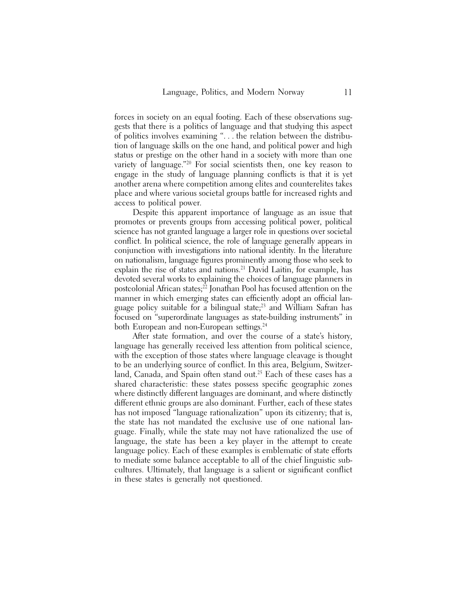forces in society on an equal footing. Each of these observations suggests that there is a politics of language and that studying this aspect of politics involves examining ". . . the relation between the distribution of language skills on the one hand, and political power and high status or prestige on the other hand in a society with more than one variety of language."20 For social scientists then, one key reason to engage in the study of language planning conflicts is that it is yet another arena where competition among elites and counterelites takes place and where various societal groups battle for increased rights and access to political power.

Despite this apparent importance of language as an issue that promotes or prevents groups from accessing political power, political science has not granted language a larger role in questions over societal conflict. In political science, the role of language generally appears in conjunction with investigations into national identity. In the literature on nationalism, language figures prominently among those who seek to explain the rise of states and nations.<sup>21</sup> David Laitin, for example, has devoted several works to explaining the choices of language planners in postcolonial African states;<sup>22</sup> Jonathan Pool has focused attention on the manner in which emerging states can efficiently adopt an official language policy suitable for a bilingual state;<sup>23</sup> and William Safran has focused on "superordinate languages as state-building instruments" in both European and non-European settings.<sup>24</sup>

After state formation, and over the course of a state's history, language has generally received less attention from political science, with the exception of those states where language cleavage is thought to be an underlying source of conflict. In this area, Belgium, Switzerland, Canada, and Spain often stand out.<sup>25</sup> Each of these cases has a shared characteristic: these states possess specific geographic zones where distinctly different languages are dominant, and where distinctly different ethnic groups are also dominant. Further, each of these states has not imposed "language rationalization" upon its citizenry; that is, the state has not mandated the exclusive use of one national language. Finally, while the state may not have rationalized the use of language, the state has been a key player in the attempt to create language policy. Each of these examples is emblematic of state efforts to mediate some balance acceptable to all of the chief linguistic subcultures. Ultimately, that language is a salient or significant conflict in these states is generally not questioned.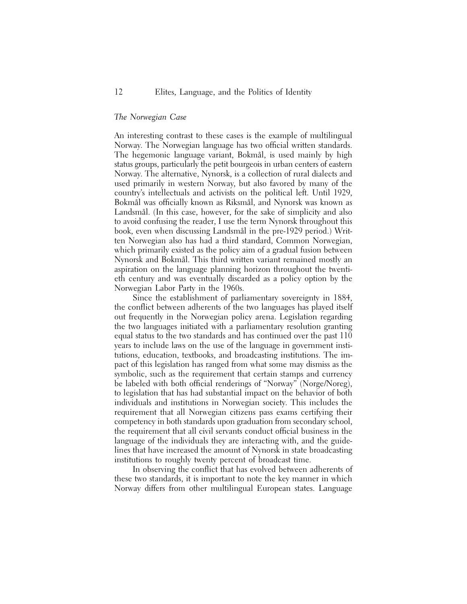#### *The Norwegian Case*

An interesting contrast to these cases is the example of multilingual Norway. The Norwegian language has two official written standards. The hegemonic language variant, Bokmål, is used mainly by high status groups, particularly the petit bourgeois in urban centers of eastern Norway. The alternative, Nynorsk, is a collection of rural dialects and used primarily in western Norway, but also favored by many of the country's intellectuals and activists on the political left. Until 1929, Bokmål was officially known as Riksmål, and Nynorsk was known as Landsmål. (In this case, however, for the sake of simplicity and also to avoid confusing the reader, I use the term Nynorsk throughout this book, even when discussing Landsmål in the pre-1929 period.) Written Norwegian also has had a third standard, Common Norwegian, which primarily existed as the policy aim of a gradual fusion between Nynorsk and Bokmål. This third written variant remained mostly an aspiration on the language planning horizon throughout the twentieth century and was eventually discarded as a policy option by the Norwegian Labor Party in the 1960s.

Since the establishment of parliamentary sovereignty in 1884, the conflict between adherents of the two languages has played itself out frequently in the Norwegian policy arena. Legislation regarding the two languages initiated with a parliamentary resolution granting equal status to the two standards and has continued over the past 110 years to include laws on the use of the language in government institutions, education, textbooks, and broadcasting institutions. The impact of this legislation has ranged from what some may dismiss as the symbolic, such as the requirement that certain stamps and currency be labeled with both official renderings of "Norway" (Norge/Noreg), to legislation that has had substantial impact on the behavior of both individuals and institutions in Norwegian society. This includes the requirement that all Norwegian citizens pass exams certifying their competency in both standards upon graduation from secondary school, the requirement that all civil servants conduct official business in the language of the individuals they are interacting with, and the guidelines that have increased the amount of Nynorsk in state broadcasting institutions to roughly twenty percent of broadcast time.

In observing the conflict that has evolved between adherents of these two standards, it is important to note the key manner in which Norway differs from other multilingual European states. Language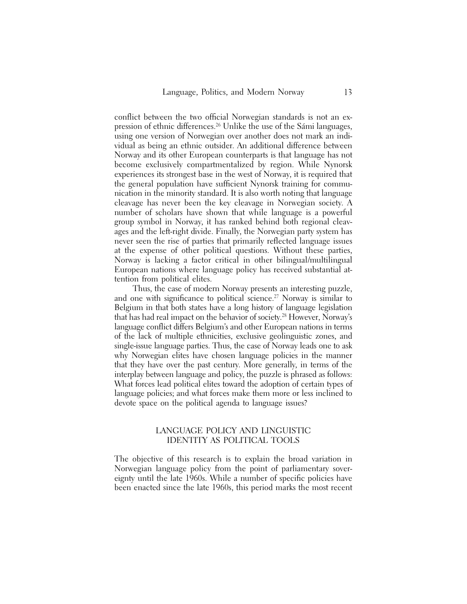conflict between the two official Norwegian standards is not an expression of ethnic differences.26 Unlike the use of the Sámi languages, using one version of Norwegian over another does not mark an individual as being an ethnic outsider. An additional difference between Norway and its other European counterparts is that language has not become exclusively compartmentalized by region. While Nynorsk experiences its strongest base in the west of Norway, it is required that the general population have sufficient Nynorsk training for communication in the minority standard. It is also worth noting that language cleavage has never been the key cleavage in Norwegian society. A number of scholars have shown that while language is a powerful group symbol in Norway, it has ranked behind both regional cleavages and the left-right divide. Finally, the Norwegian party system has never seen the rise of parties that primarily reflected language issues at the expense of other political questions. Without these parties, Norway is lacking a factor critical in other bilingual/multilingual European nations where language policy has received substantial attention from political elites.

Thus, the case of modern Norway presents an interesting puzzle, and one with significance to political science.<sup>27</sup> Norway is similar to Belgium in that both states have a long history of language legislation that has had real impact on the behavior of society.28 However, Norway's language conflict differs Belgium's and other European nations in terms of the lack of multiple ethnicities, exclusive geolinguistic zones, and single-issue language parties. Thus, the case of Norway leads one to ask why Norwegian elites have chosen language policies in the manner that they have over the past century. More generally, in terms of the interplay between language and policy, the puzzle is phrased as follows: What forces lead political elites toward the adoption of certain types of language policies; and what forces make them more or less inclined to devote space on the political agenda to language issues?

## LANGUAGE POLICY AND LINGUISTIC IDENTITY AS POLITICAL TOOLS

The objective of this research is to explain the broad variation in Norwegian language policy from the point of parliamentary sovereignty until the late 1960s. While a number of specific policies have been enacted since the late 1960s, this period marks the most recent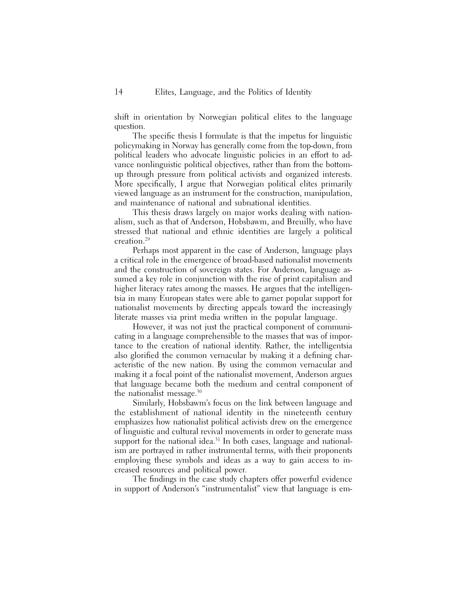shift in orientation by Norwegian political elites to the language question.

The specific thesis I formulate is that the impetus for linguistic policymaking in Norway has generally come from the top-down, from political leaders who advocate linguistic policies in an effort to advance nonlinguistic political objectives, rather than from the bottomup through pressure from political activists and organized interests. More specifically, I argue that Norwegian political elites primarily viewed language as an instrument for the construction, manipulation, and maintenance of national and subnational identities.

This thesis draws largely on major works dealing with nationalism, such as that of Anderson, Hobsbawm, and Breuilly, who have stressed that national and ethnic identities are largely a political creation.29

Perhaps most apparent in the case of Anderson, language plays a critical role in the emergence of broad-based nationalist movements and the construction of sovereign states. For Anderson, language assumed a key role in conjunction with the rise of print capitalism and higher literacy rates among the masses. He argues that the intelligentsia in many European states were able to garner popular support for nationalist movements by directing appeals toward the increasingly literate masses via print media written in the popular language.

However, it was not just the practical component of communicating in a language comprehensible to the masses that was of importance to the creation of national identity. Rather, the intelligentsia also glorified the common vernacular by making it a defining characteristic of the new nation. By using the common vernacular and making it a focal point of the nationalist movement, Anderson argues that language became both the medium and central component of the nationalist message.30

Similarly, Hobsbawm's focus on the link between language and the establishment of national identity in the nineteenth century emphasizes how nationalist political activists drew on the emergence of linguistic and cultural revival movements in order to generate mass support for the national idea.<sup>31</sup> In both cases, language and nationalism are portrayed in rather instrumental terms, with their proponents employing these symbols and ideas as a way to gain access to increased resources and political power.

The findings in the case study chapters offer powerful evidence in support of Anderson's "instrumentalist" view that language is em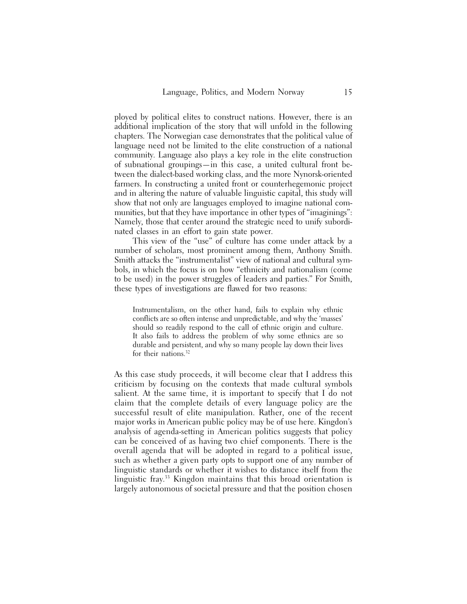ployed by political elites to construct nations. However, there is an additional implication of the story that will unfold in the following chapters. The Norwegian case demonstrates that the political value of language need not be limited to the elite construction of a national community. Language also plays a key role in the elite construction of subnational groupings—in this case, a united cultural front between the dialect-based working class, and the more Nynorsk-oriented farmers. In constructing a united front or counterhegemonic project and in altering the nature of valuable linguistic capital, this study will show that not only are languages employed to imagine national communities, but that they have importance in other types of "imaginings": Namely, those that center around the strategic need to unify subordinated classes in an effort to gain state power.

This view of the "use" of culture has come under attack by a number of scholars, most prominent among them, Anthony Smith. Smith attacks the "instrumentalist" view of national and cultural symbols, in which the focus is on how "ethnicity and nationalism (come to be used) in the power struggles of leaders and parties." For Smith, these types of investigations are flawed for two reasons:

Instrumentalism, on the other hand, fails to explain why ethnic conflicts are so often intense and unpredictable, and why the 'masses' should so readily respond to the call of ethnic origin and culture. It also fails to address the problem of why some ethnics are so durable and persistent, and why so many people lay down their lives for their nations.<sup>32</sup>

As this case study proceeds, it will become clear that I address this criticism by focusing on the contexts that made cultural symbols salient. At the same time, it is important to specify that I do not claim that the complete details of every language policy are the successful result of elite manipulation. Rather, one of the recent major works in American public policy may be of use here. Kingdon's analysis of agenda-setting in American politics suggests that policy can be conceived of as having two chief components. There is the overall agenda that will be adopted in regard to a political issue, such as whether a given party opts to support one of any number of linguistic standards or whether it wishes to distance itself from the linguistic fray.33 Kingdon maintains that this broad orientation is largely autonomous of societal pressure and that the position chosen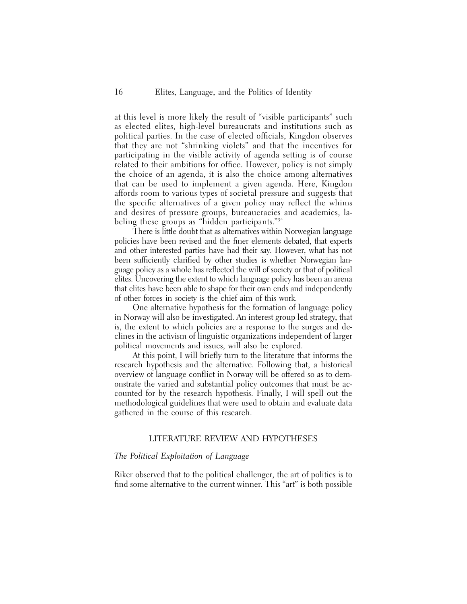at this level is more likely the result of "visible participants" such as elected elites, high-level bureaucrats and institutions such as political parties. In the case of elected officials, Kingdon observes that they are not "shrinking violets" and that the incentives for participating in the visible activity of agenda setting is of course related to their ambitions for office. However, policy is not simply the choice of an agenda, it is also the choice among alternatives that can be used to implement a given agenda. Here, Kingdon affords room to various types of societal pressure and suggests that the specific alternatives of a given policy may reflect the whims and desires of pressure groups, bureaucracies and academics, labeling these groups as "hidden participants."34

There is little doubt that as alternatives within Norwegian language policies have been revised and the finer elements debated, that experts and other interested parties have had their say. However, what has not been sufficiently clarified by other studies is whether Norwegian language policy as a whole has reflected the will of society or that of political elites. Uncovering the extent to which language policy has been an arena that elites have been able to shape for their own ends and independently of other forces in society is the chief aim of this work.

One alternative hypothesis for the formation of language policy in Norway will also be investigated. An interest group led strategy, that is, the extent to which policies are a response to the surges and declines in the activism of linguistic organizations independent of larger political movements and issues, will also be explored.

At this point, I will briefly turn to the literature that informs the research hypothesis and the alternative. Following that, a historical overview of language conflict in Norway will be offered so as to demonstrate the varied and substantial policy outcomes that must be accounted for by the research hypothesis. Finally, I will spell out the methodological guidelines that were used to obtain and evaluate data gathered in the course of this research.

## LITERATURE REVIEW AND HYPOTHESES

## *The Political Exploitation of Language*

Riker observed that to the political challenger, the art of politics is to find some alternative to the current winner. This "art" is both possible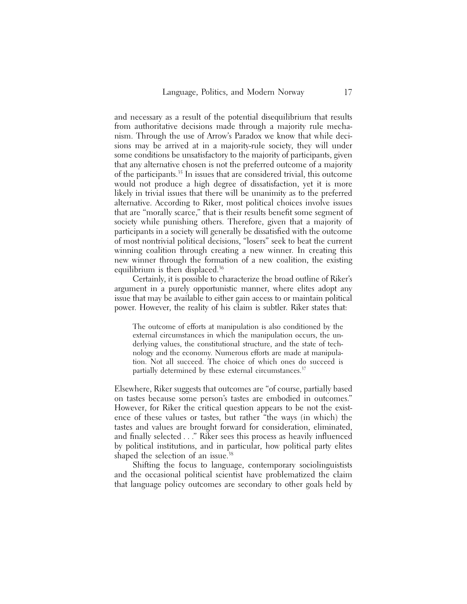and necessary as a result of the potential disequilibrium that results from authoritative decisions made through a majority rule mechanism. Through the use of Arrow's Paradox we know that while decisions may be arrived at in a majority-rule society, they will under some conditions be unsatisfactory to the majority of participants, given that any alternative chosen is not the preferred outcome of a majority of the participants.35 In issues that are considered trivial, this outcome would not produce a high degree of dissatisfaction, yet it is more likely in trivial issues that there will be unanimity as to the preferred alternative. According to Riker, most political choices involve issues that are "morally scarce," that is their results benefit some segment of society while punishing others. Therefore, given that a majority of participants in a society will generally be dissatisfied with the outcome of most nontrivial political decisions, "losers" seek to beat the current winning coalition through creating a new winner. In creating this new winner through the formation of a new coalition, the existing equilibrium is then displaced.<sup>36</sup>

Certainly, it is possible to characterize the broad outline of Riker's argument in a purely opportunistic manner, where elites adopt any issue that may be available to either gain access to or maintain political power. However, the reality of his claim is subtler. Riker states that:

The outcome of efforts at manipulation is also conditioned by the external circumstances in which the manipulation occurs, the underlying values, the constitutional structure, and the state of technology and the economy. Numerous efforts are made at manipulation. Not all succeed. The choice of which ones do succeed is partially determined by these external circumstances.<sup>37</sup>

Elsewhere, Riker suggests that outcomes are "of course, partially based on tastes because some person's tastes are embodied in outcomes." However, for Riker the critical question appears to be not the existence of these values or tastes, but rather "the ways (in which) the tastes and values are brought forward for consideration, eliminated, and finally selected . . ." Riker sees this process as heavily influenced by political institutions, and in particular, how political party elites shaped the selection of an issue.<sup>38</sup>

Shifting the focus to language, contemporary sociolinguistists and the occasional political scientist have problematized the claim that language policy outcomes are secondary to other goals held by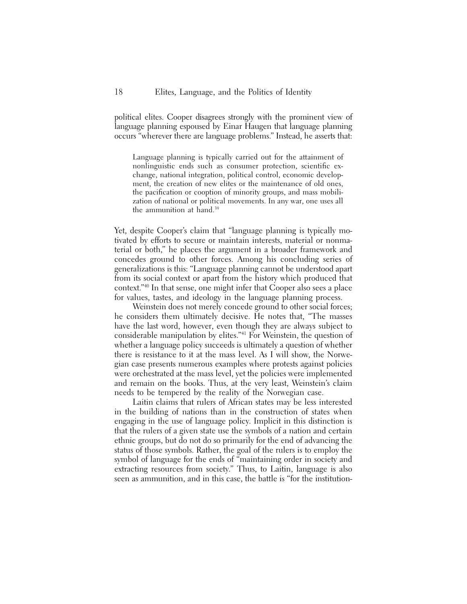political elites. Cooper disagrees strongly with the prominent view of language planning espoused by Einar Haugen that language planning occurs "wherever there are language problems." Instead, he asserts that:

Language planning is typically carried out for the attainment of nonlinguistic ends such as consumer protection, scientific exchange, national integration, political control, economic development, the creation of new elites or the maintenance of old ones, the pacification or cooption of minority groups, and mass mobilization of national or political movements. In any war, one uses all the ammunition at hand.39

Yet, despite Cooper's claim that "language planning is typically motivated by efforts to secure or maintain interests, material or nonmaterial or both," he places the argument in a broader framework and concedes ground to other forces. Among his concluding series of generalizations is this: "Language planning cannot be understood apart from its social context or apart from the history which produced that context."40 In that sense, one might infer that Cooper also sees a place for values, tastes, and ideology in the language planning process.

Weinstein does not merely concede ground to other social forces; he considers them ultimately decisive. He notes that, "The masses have the last word, however, even though they are always subject to considerable manipulation by elites."41 For Weinstein, the question of whether a language policy succeeds is ultimately a question of whether there is resistance to it at the mass level. As I will show, the Norwegian case presents numerous examples where protests against policies were orchestrated at the mass level, yet the policies were implemented and remain on the books. Thus, at the very least, Weinstein's claim needs to be tempered by the reality of the Norwegian case.

Laitin claims that rulers of African states may be less interested in the building of nations than in the construction of states when engaging in the use of language policy. Implicit in this distinction is that the rulers of a given state use the symbols of a nation and certain ethnic groups, but do not do so primarily for the end of advancing the status of those symbols. Rather, the goal of the rulers is to employ the symbol of language for the ends of "maintaining order in society and extracting resources from society." Thus, to Laitin, language is also seen as ammunition, and in this case, the battle is "for the institution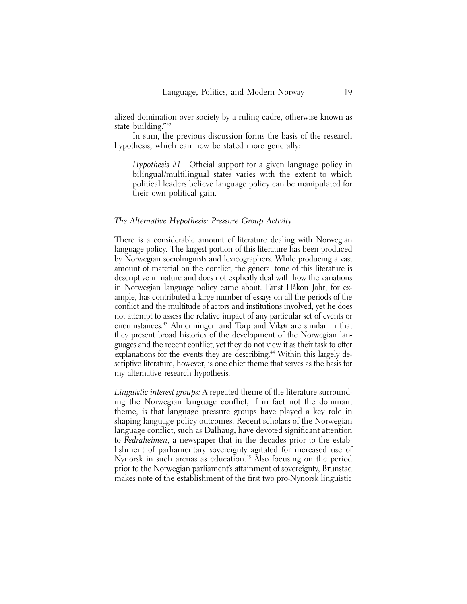alized domination over society by a ruling cadre, otherwise known as state building."42

In sum, the previous discussion forms the basis of the research hypothesis, which can now be stated more generally:

*Hypothesis #1* Official support for a given language policy in bilingual/multilingual states varies with the extent to which political leaders believe language policy can be manipulated for their own political gain.

## *The Alternative Hypothesis: Pressure Group Activity*

There is a considerable amount of literature dealing with Norwegian language policy. The largest portion of this literature has been produced by Norwegian sociolinguists and lexicographers. While producing a vast amount of material on the conflict, the general tone of this literature is descriptive in nature and does not explicitly deal with how the variations in Norwegian language policy came about. Ernst Håkon Jahr, for example, has contributed a large number of essays on all the periods of the conflict and the multitude of actors and institutions involved, yet he does not attempt to assess the relative impact of any particular set of events or circumstances.43 Almenningen and Torp and Vikør are similar in that they present broad histories of the development of the Norwegian languages and the recent conflict, yet they do not view it as their task to offer explanations for the events they are describing.<sup>44</sup> Within this largely descriptive literature, however, is one chief theme that serves as the basis for my alternative research hypothesis.

*Linguistic interest groups:* A repeated theme of the literature surrounding the Norwegian language conflict, if in fact not the dominant theme, is that language pressure groups have played a key role in shaping language policy outcomes. Recent scholars of the Norwegian language conflict, such as Dalhaug, have devoted significant attention to *Fedraheimen*, a newspaper that in the decades prior to the establishment of parliamentary sovereignty agitated for increased use of Nynorsk in such arenas as education.<sup>45</sup> Also focusing on the period prior to the Norwegian parliament's attainment of sovereignty, Brunstad makes note of the establishment of the first two pro-Nynorsk linguistic